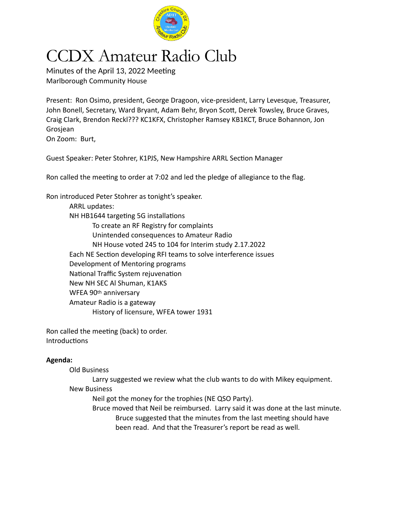

## CCDX Amateur Radio Club

Minutes of the April 13, 2022 Meeting Marlborough Community House

Present: Ron Osimo, president, George Dragoon, vice-president, Larry Levesque, Treasurer, John Bonell, Secretary, Ward Bryant, Adam Behr, Bryon Scott, Derek Towsley, Bruce Graves, Craig Clark, Brendon Reckl??? KC1KFX, Christopher Ramsey KB1KCT, Bruce Bohannon, Jon Grosjean

On Zoom: Burt,

Guest Speaker: Peter Stohrer, K1PJS, New Hampshire ARRL Section Manager

Ron called the meeting to order at 7:02 and led the pledge of allegiance to the flag.

Ron introduced Peter Stohrer as tonight's speaker.

ARRL updates: NH HB1644 targeting 5G installations To create an RF Registry for complaints Unintended consequences to Amateur Radio NH House voted 245 to 104 for Interim study 2.17.2022 Each NE Section developing RFI teams to solve interference issues Development of Mentoring programs National Traffic System rejuvenation New NH SEC Al Shuman, K1AKS WFEA 90th anniversary Amateur Radio is a gateway History of licensure, WFEA tower 1931

Ron called the meeting (back) to order. **Introductions** 

## **Agenda:**

Old Business

Larry suggested we review what the club wants to do with Mikey equipment. New Business

Neil got the money for the trophies (NE QSO Party).

Bruce moved that Neil be reimbursed. Larry said it was done at the last minute. Bruce suggested that the minutes from the last meeting should have been read. And that the Treasurer's report be read as well.